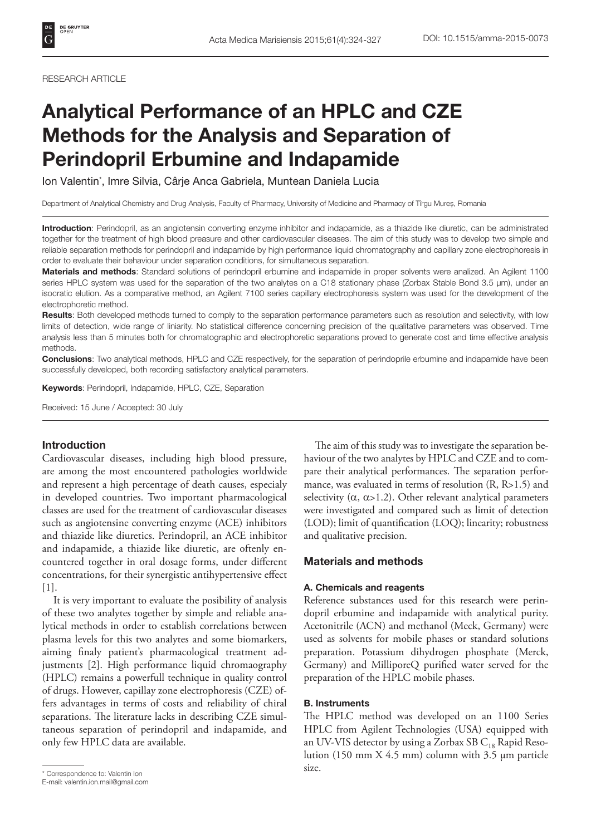#### RESEARCH ARTICLE

# Analytical Performance of an HPLC and CZE Methods for the Analysis and Separation of Perindopril Erbumine and Indapamide

Ion Valentin\* , Imre Silvia, Cârje Anca Gabriela, Muntean Daniela Lucia

Department of Analytical Chemistry and Drug Analysis, Faculty of Pharmacy, University of Medicine and Pharmacy of Tîrgu Mureș, Romania

Introduction: Perindopril, as an angiotensin converting enzyme inhibitor and indapamide, as a thiazide like diuretic, can be administrated together for the treatment of high blood preasure and other cardiovascular diseases. The aim of this study was to develop two simple and reliable separation methods for perindopril and indapamide by high performance liquid chromatography and capillary zone electrophoresis in order to evaluate their behaviour under separation conditions, for simultaneous separation.

Materials and methods: Standard solutions of perindopril erbumine and indapamide in proper solvents were analized. An Agilent 1100 series HPLC system was used for the separation of the two analytes on a C18 stationary phase (Zorbax Stable Bond 3.5 µm), under an isocratic elution. As a comparative method, an Agilent 7100 series capillary electrophoresis system was used for the development of the electrophoretic method.

Results: Both developed methods turned to comply to the separation performance parameters such as resolution and selectivity, with low limits of detection, wide range of liniarity. No statistical difference concerning precision of the qualitative parameters was observed. Time analysis less than 5 minutes both for chromatographic and electrophoretic separations proved to generate cost and time effective analysis methods.

Conclusions: Two analytical methods, HPLC and CZE respectively, for the separation of perindoprile erbumine and indapamide have been successfully developed, both recording satisfactory analytical parameters.

Keywords: Perindopril, Indapamide, HPLC, CZE, Separation

Received: 15 June / Accepted: 30 July

# Introduction

Cardiovascular diseases, including high blood pressure, are among the most encountered pathologies worldwide and represent a high percentage of death causes, especialy in developed countries. Two important pharmacological classes are used for the treatment of cardiovascular diseases such as angiotensine converting enzyme (ACE) inhibitors and thiazide like diuretics. Perindopril, an ACE inhibitor and indapamide, a thiazide like diuretic, are oftenly encountered together in oral dosage forms, under different concentrations, for their synergistic antihypertensive effect [1].

It is very important to evaluate the posibility of analysis of these two analytes together by simple and reliable analytical methods in order to establish correlations between plasma levels for this two analytes and some biomarkers, aiming finaly patient's pharmacological treatment adjustments [2]. High performance liquid chromaography (HPLC) remains a powerfull technique in quality control of drugs. However, capillay zone electrophoresis (CZE) offers advantages in terms of costs and reliability of chiral separations. The literature lacks in describing CZE simultaneous separation of perindopril and indapamide, and only few HPLC data are available.

E-mail: valentin.ion.mail@gmail.com

The aim of this study was to investigate the separation behaviour of the two analytes by HPLC and CZE and to compare their analytical performances. The separation performance, was evaluated in terms of resolution (R, R>1.5) and selectivity  $(\alpha, \alpha > 1.2)$ . Other relevant analytical parameters were investigated and compared such as limit of detection (LOD); limit of quantification (LOQ); linearity; robustness and qualitative precision.

# Materials and methods

#### A. Chemicals and reagents

Reference substances used for this research were perindopril erbumine and indapamide with analytical purity. Acetonitrile (ACN) and methanol (Meck, Germany) were used as solvents for mobile phases or standard solutions preparation. Potassium dihydrogen phosphate (Merck, Germany) and MilliporeQ purified water served for the preparation of the HPLC mobile phases.

## B. Instruments

The HPLC method was developed on an 1100 Series HPLC from Agilent Technologies (USA) equipped with an UV-VIS detector by using a Zorbax SB  $C_{18}$  Rapid Resolution (150 mm X 4.5 mm) column with 3.5 µm particle

size. \* Correspondence to: Valentin Ion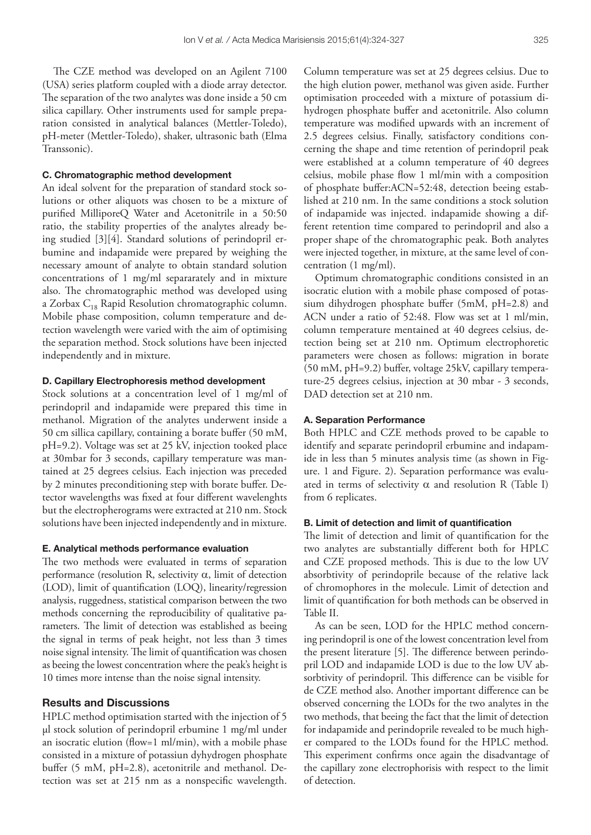The CZE method was developed on an Agilent 7100 (USA) series platform coupled with a diode array detector. The separation of the two analytes was done inside a 50 cm silica capillary. Other instruments used for sample preparation consisted in analytical balances (Mettler-Toledo), pH-meter (Mettler-Toledo), shaker, ultrasonic bath (Elma Transsonic).

### C. Chromatographic method development

An ideal solvent for the preparation of standard stock solutions or other aliquots was chosen to be a mixture of purified MilliporeQ Water and Acetonitrile in a 50:50 ratio, the stability properties of the analytes already being studied [3][4]. Standard solutions of perindopril erbumine and indapamide were prepared by weighing the necessary amount of analyte to obtain standard solution concentrations of 1 mg/ml separarately and in mixture also. The chromatographic method was developed using a Zorbax  $C_{18}$  Rapid Resolution chromatographic column. Mobile phase composition, column temperature and detection wavelength were varied with the aim of optimising the separation method. Stock solutions have been injected independently and in mixture.

#### D. Capillary Electrophoresis method development

Stock solutions at a concentration level of 1 mg/ml of perindopril and indapamide were prepared this time in methanol. Migration of the analytes underwent inside a 50 cm sillica capillary, containing a borate buffer (50 mM, pH=9.2). Voltage was set at 25 kV, injection tooked place at 30mbar for 3 seconds, capillary temperature was mantained at 25 degrees celsius. Each injection was preceded by 2 minutes preconditioning step with borate buffer. Detector wavelengths was fixed at four different wavelenghts but the electropherograms were extracted at 210 nm. Stock solutions have been injected independently and in mixture.

## E. Analytical methods performance evaluation

The two methods were evaluated in terms of separation performance (resolution R, selectivity  $\alpha$ , limit of detection (LOD), limit of quantification (LOQ), linearity/regression analysis, ruggedness, statistical comparison between the two methods concerning the reproducibility of qualitative parameters. The limit of detection was established as beeing the signal in terms of peak height, not less than 3 times noise signal intensity. The limit of quantification was chosen as beeing the lowest concentration where the peak's height is 10 times more intense than the noise signal intensity.

### Results and Discussions

HPLC method optimisation started with the injection of 5 µl stock solution of perindopril erbumine 1 mg/ml under an isocratic elution (flow=1 ml/min), with a mobile phase consisted in a mixture of potassiun dyhydrogen phosphate buffer (5 mM, pH=2.8), acetonitrile and methanol. Detection was set at 215 nm as a nonspecific wavelength.

Column temperature was set at 25 degrees celsius. Due to the high elution power, methanol was given aside. Further optimisation proceeded with a mixture of potassium dihydrogen phosphate buffer and acetonitrile. Also column temperature was modified upwards with an increment of 2.5 degrees celsius. Finally, satisfactory conditions concerning the shape and time retention of perindopril peak were established at a column temperature of 40 degrees celsius, mobile phase flow 1 ml/min with a composition of phosphate buffer:ACN=52:48, detection beeing established at 210 nm. In the same conditions a stock solution of indapamide was injected. indapamide showing a different retention time compared to perindopril and also a proper shape of the chromatographic peak. Both analytes were injected together, in mixture, at the same level of concentration (1 mg/ml).

Optimum chromatographic conditions consisted in an isocratic elution with a mobile phase composed of potassium dihydrogen phosphate buffer (5mM, pH=2.8) and ACN under a ratio of 52:48. Flow was set at 1 ml/min, column temperature mentained at 40 degrees celsius, detection being set at 210 nm. Optimum electrophoretic parameters were chosen as follows: migration in borate (50 mM, pH=9.2) buffer, voltage 25kV, capillary temperature-25 degrees celsius, injection at 30 mbar - 3 seconds, DAD detection set at 210 nm.

## A. Separation Performance

Both HPLC and CZE methods proved to be capable to identify and separate perindopril erbumine and indapamide in less than 5 minutes analysis time (as shown in Figure. 1 and Figure. 2). Separation performance was evaluated in terms of selectivity  $\alpha$  and resolution R (Table I) from 6 replicates.

## B. Limit of detection and limit of quantification

The limit of detection and limit of quantification for the two analytes are substantially different both for HPLC and CZE proposed methods. This is due to the low UV absorbtivity of perindoprile because of the relative lack of chromophores in the molecule. Limit of detection and limit of quantification for both methods can be observed in Table II.

As can be seen, LOD for the HPLC method concerning perindopril is one of the lowest concentration level from the present literature [5]. The difference between perindopril LOD and indapamide LOD is due to the low UV absorbtivity of perindopril. This difference can be visible for de CZE method also. Another important difference can be observed concerning the LODs for the two analytes in the two methods, that beeing the fact that the limit of detection for indapamide and perindoprile revealed to be much higher compared to the LODs found for the HPLC method. This experiment confirms once again the disadvantage of the capillary zone electrophorisis with respect to the limit of detection.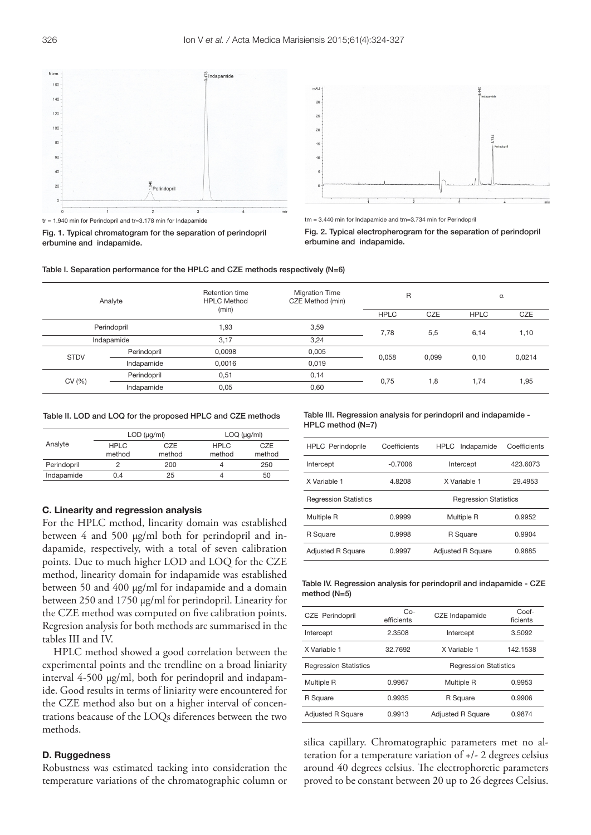

 $tr = 1.940$  min for Perindopril and  $tr = 3.178$  min for Indapamide

Fig. 1. Typical chromatogram for the separation of perindopril erbumine and indapamide.



tm = 3.440 min for Indapamide and tm=3.734 min for Perindopril

Fig. 2. Typical electropherogram for the separation of perindopril erbumine and indapamide.



| Analyte     |             | Retention time<br><b>HPLC Method</b> | <b>Migration Time</b><br>CZE Method (min) | R           |            | $\alpha$    |        |
|-------------|-------------|--------------------------------------|-------------------------------------------|-------------|------------|-------------|--------|
|             |             | (min)                                |                                           | <b>HPLC</b> | <b>CZE</b> | <b>HPLC</b> | CZE    |
| Perindopril |             | .93                                  | 3,59                                      | 7,78        | 5,5        | 6,14        | 1,10   |
|             | Indapamide  |                                      | 3,24                                      |             |            |             |        |
| <b>STDV</b> | Perindopril | 0,0098                               | 0,005                                     | 0.058       | 0,099      | 0,10        | 0,0214 |
|             | Indapamide  | 0,0016                               | 0.019                                     |             |            |             |        |
| CV (%)      | Perindopril | 0,51                                 | 0,14                                      | 0,75        | 1,8        | 1,74        | 1,95   |
|             | Indapamide  | 0,05                                 | 0,60                                      |             |            |             |        |

Table II. LOD and LOQ for the proposed HPLC and CZE methods

|             |                       | $LOD$ ( $\mu$ g/ml)                    | $LOQ$ ( $\mu$ g/ml) |               |  |
|-------------|-----------------------|----------------------------------------|---------------------|---------------|--|
| Analyte     | <b>HPLC</b><br>method | CZE<br><b>HPLC</b><br>method<br>method |                     | CZE<br>method |  |
| Perindopril |                       | 200                                    |                     | 250           |  |
| Indapamide  | 0.4                   | 25                                     |                     | 50            |  |

#### C. Linearity and regression analysis

For the HPLC method, linearity domain was established between 4 and 500 µg/ml both for perindopril and indapamide, respectively, with a total of seven calibration points. Due to much higher LOD and LOQ for the CZE method, linearity domain for indapamide was established between 50 and 400 µg/ml for indapamide and a domain between 250 and 1750 µg/ml for perindopril. Linearity for the CZE method was computed on five calibration points. Regresion analysis for both methods are summarised in the tables III and IV.

HPLC method showed a good correlation between the experimental points and the trendline on a broad liniarity interval 4-500 µg/ml, both for perindopril and indapamide. Good results in terms of liniarity were encountered for the CZE method also but on a higher interval of concentrations beacause of the LOQs diferences between the two methods.

# D. Ruggedness

Robustness was estimated tacking into consideration the temperature variations of the chromatographic column or

Table III. Regression analysis for perindopril and indapamide - HPLC method (N=7)

| <b>HPLC</b> Perindoprile     | Coefficients | HPLC Indapamide              | Coefficients |  |
|------------------------------|--------------|------------------------------|--------------|--|
| Intercept                    | $-0.7006$    | Intercept                    | 423.6073     |  |
| X Variable 1                 | 4.8208       | X Variable 1                 | 29.4953      |  |
| <b>Regression Statistics</b> |              | <b>Regression Statistics</b> |              |  |
| Multiple R                   | 0.9999       | Multiple R                   | 0.9952       |  |
| R Square                     | 0.9998       | R Square                     | 0.9904       |  |
| <b>Adjusted R Square</b>     | 0.9997       | <b>Adjusted R Square</b>     | 0.9885       |  |

Table IV. Regression analysis for perindopril and indapamide - CZE method (N=5)

| <b>CZE</b> Perindopril       | Co-<br>efficients       | CZE Indapamide               | Coef-<br>ficients |  |
|------------------------------|-------------------------|------------------------------|-------------------|--|
| Intercept                    | 2.3508                  | 3.5092<br>Intercept          |                   |  |
| X Variable 1                 | 32.7692<br>X Variable 1 |                              | 142.1538          |  |
| <b>Regression Statistics</b> |                         | <b>Regression Statistics</b> |                   |  |
| Multiple R                   | 0.9967                  | <b>Multiple R</b>            | 0.9953            |  |
| R Square                     | 0.9935                  | R Square                     | 0.9906            |  |
| <b>Adjusted R Square</b>     | 0.9913                  | <b>Adiusted R Square</b>     | 0.9874            |  |
|                              |                         |                              |                   |  |

silica capillary. Chromatographic parameters met no alteration for a temperature variation of +/- 2 degrees celsius around 40 degrees celsius. The electrophoretic parameters proved to be constant between 20 up to 26 degrees Celsius.